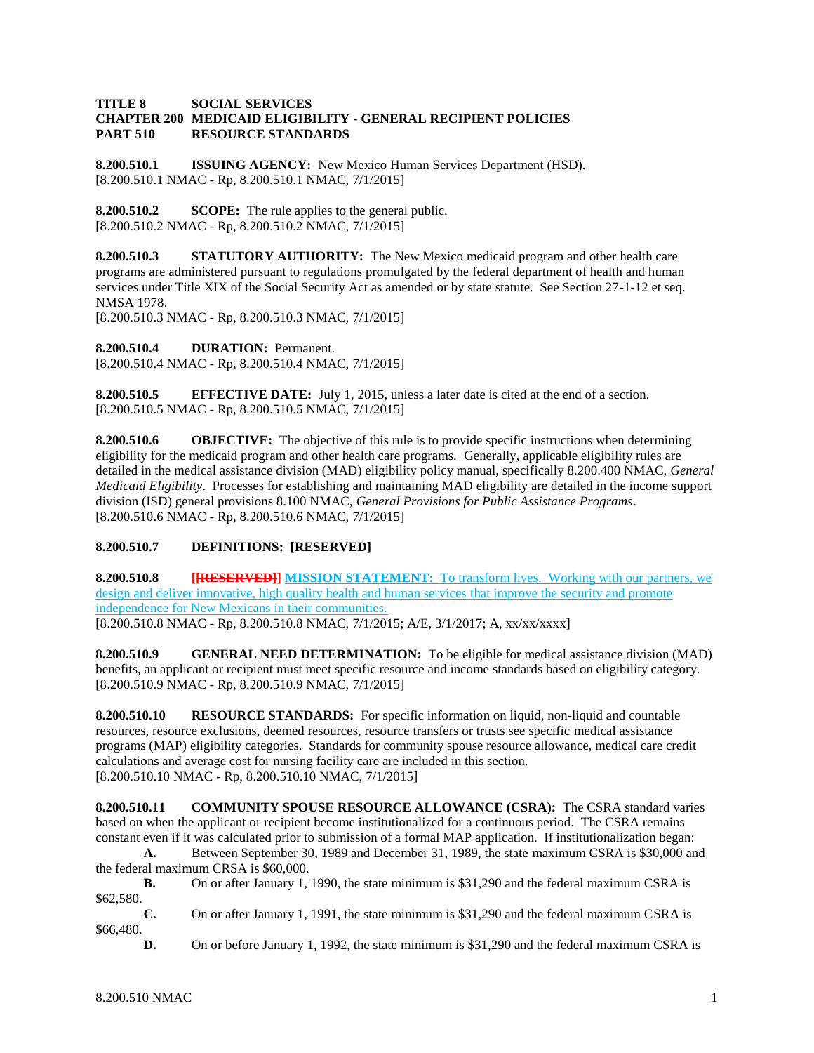### **TITLE 8 SOCIAL SERVICES CHAPTER 200 MEDICAID ELIGIBILITY - GENERAL RECIPIENT POLICIES PART 510 RESOURCE STANDARDS**

**8.200.510.1 ISSUING AGENCY:** New Mexico Human Services Department (HSD). [8.200.510.1 NMAC - Rp, 8.200.510.1 NMAC, 7/1/2015]

**8.200.510.2 SCOPE:** The rule applies to the general public. [8.200.510.2 NMAC - Rp, 8.200.510.2 NMAC, 7/1/2015]

**8.200.510.3 STATUTORY AUTHORITY:** The New Mexico medicaid program and other health care programs are administered pursuant to regulations promulgated by the federal department of health and human services under Title XIX of the Social Security Act as amended or by state statute. See Section 27-1-12 et seq. NMSA 1978.

[8.200.510.3 NMAC - Rp, 8.200.510.3 NMAC, 7/1/2015]

**8.200.510.4 DURATION:** Permanent. [8.200.510.4 NMAC - Rp, 8.200.510.4 NMAC, 7/1/2015]

**8.200.510.5 EFFECTIVE DATE:** July 1, 2015, unless a later date is cited at the end of a section. [8.200.510.5 NMAC - Rp, 8.200.510.5 NMAC, 7/1/2015]

**8.200.510.6 OBJECTIVE:** The objective of this rule is to provide specific instructions when determining eligibility for the medicaid program and other health care programs. Generally, applicable eligibility rules are detailed in the medical assistance division (MAD) eligibility policy manual, specifically 8.200.400 NMAC, *General Medicaid Eligibility*. Processes for establishing and maintaining MAD eligibility are detailed in the income support division (ISD) general provisions 8.100 NMAC, *General Provisions for Public Assistance Programs*. [8.200.510.6 NMAC - Rp, 8.200.510.6 NMAC, 7/1/2015]

# **8.200.510.7 DEFINITIONS: [RESERVED]**

**8.200.510.8 [[RESERVED]] MISSION STATEMENT:** To transform lives. Working with our partners, we design and deliver innovative, high quality health and human services that improve the security and promote independence for New Mexicans in their communities. [8.200.510.8 NMAC - Rp, 8.200.510.8 NMAC, 7/1/2015; A/E, 3/1/2017; A, xx/xx/xxxx]

**8.200.510.9 GENERAL NEED DETERMINATION:** To be eligible for medical assistance division (MAD) benefits, an applicant or recipient must meet specific resource and income standards based on eligibility category. [8.200.510.9 NMAC - Rp, 8.200.510.9 NMAC, 7/1/2015]

**8.200.510.10 RESOURCE STANDARDS:** For specific information on liquid, non-liquid and countable resources, resource exclusions, deemed resources, resource transfers or trusts see specific medical assistance programs (MAP) eligibility categories. Standards for community spouse resource allowance, medical care credit calculations and average cost for nursing facility care are included in this section. [8.200.510.10 NMAC - Rp, 8.200.510.10 NMAC, 7/1/2015]

**8.200.510.11 COMMUNITY SPOUSE RESOURCE ALLOWANCE (CSRA):** The CSRA standard varies based on when the applicant or recipient become institutionalized for a continuous period. The CSRA remains constant even if it was calculated prior to submission of a formal MAP application. If institutionalization began:

**A.** Between September 30, 1989 and December 31, 1989, the state maximum CSRA is \$30,000 and the federal maximum CRSA is \$60,000.

**B.** On or after January 1, 1990, the state minimum is \$31,290 and the federal maximum CSRA is \$62,580.

**C.** On or after January 1, 1991, the state minimum is \$31,290 and the federal maximum CSRA is \$66,480.

**D.** On or before January 1, 1992, the state minimum is \$31,290 and the federal maximum CSRA is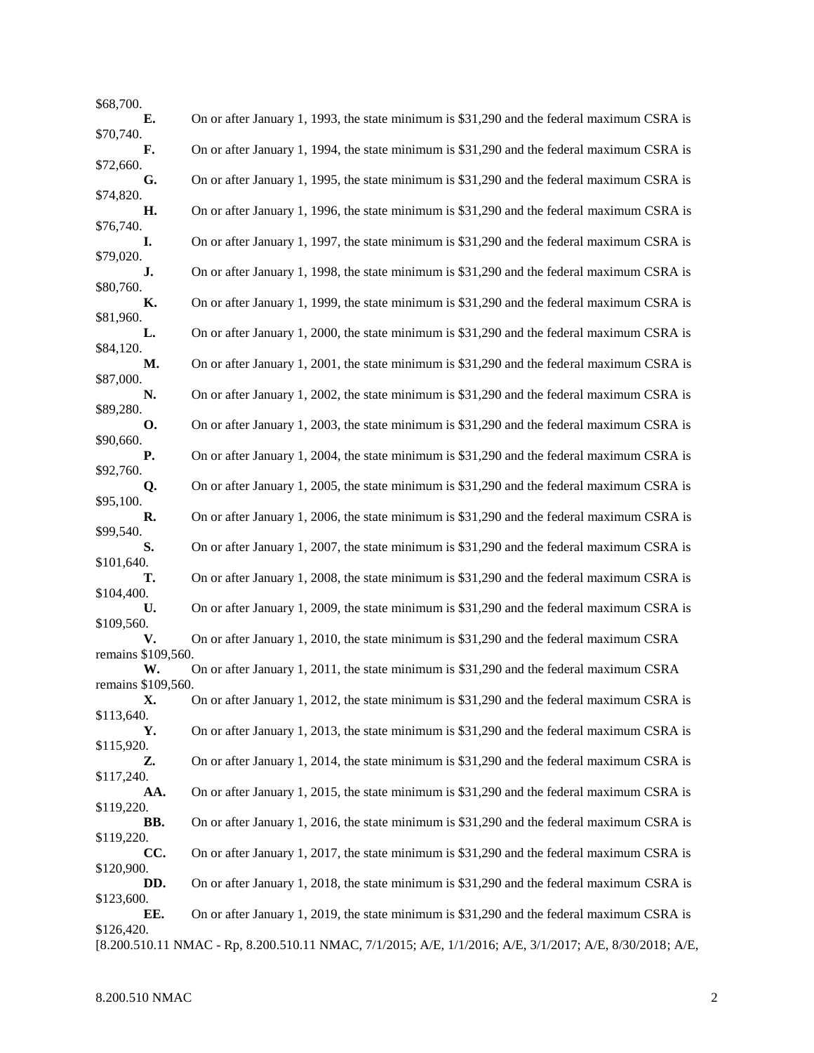| \$68,700.                |                                                                                                          |
|--------------------------|----------------------------------------------------------------------------------------------------------|
| E.                       | On or after January 1, 1993, the state minimum is \$31,290 and the federal maximum CSRA is               |
| \$70,740.<br>F.          | On or after January 1, 1994, the state minimum is \$31,290 and the federal maximum CSRA is               |
| \$72,660.                |                                                                                                          |
| G.<br>\$74,820.          | On or after January 1, 1995, the state minimum is \$31,290 and the federal maximum CSRA is               |
| Н.<br>\$76,740.          | On or after January 1, 1996, the state minimum is \$31,290 and the federal maximum CSRA is               |
| I.<br>\$79,020.          | On or after January 1, 1997, the state minimum is \$31,290 and the federal maximum CSRA is               |
| J.                       | On or after January 1, 1998, the state minimum is \$31,290 and the federal maximum CSRA is               |
| \$80,760.<br>К.          | On or after January 1, 1999, the state minimum is \$31,290 and the federal maximum CSRA is               |
| \$81,960.<br>L.          | On or after January 1, 2000, the state minimum is \$31,290 and the federal maximum CSRA is               |
| \$84,120.<br>М.          | On or after January 1, 2001, the state minimum is \$31,290 and the federal maximum CSRA is               |
| \$87,000.<br>N.          | On or after January 1, 2002, the state minimum is \$31,290 and the federal maximum CSRA is               |
| \$89,280.<br>О.          | On or after January 1, 2003, the state minimum is \$31,290 and the federal maximum CSRA is               |
| \$90,660.<br><b>P.</b>   | On or after January 1, 2004, the state minimum is \$31,290 and the federal maximum CSRA is               |
| \$92,760.<br>Q.          | On or after January 1, 2005, the state minimum is \$31,290 and the federal maximum CSRA is               |
| \$95,100.<br>R.          | On or after January 1, 2006, the state minimum is \$31,290 and the federal maximum CSRA is               |
| \$99,540.<br>S.          | On or after January 1, 2007, the state minimum is \$31,290 and the federal maximum CSRA is               |
| \$101,640.<br>т.         | On or after January 1, 2008, the state minimum is \$31,290 and the federal maximum CSRA is               |
| \$104,400.               |                                                                                                          |
| U.<br>\$109,560.         | On or after January 1, 2009, the state minimum is \$31,290 and the federal maximum CSRA is               |
| V.<br>remains \$109,560. | On or after January 1, 2010, the state minimum is \$31,290 and the federal maximum CSRA                  |
| W.                       | On or after January 1, 2011, the state minimum is \$31,290 and the federal maximum CSRA                  |
| remains \$109,560.<br>X. | On or after January 1, 2012, the state minimum is \$31,290 and the federal maximum CSRA is               |
| \$113,640.               |                                                                                                          |
| Υ.<br>\$115,920.         | On or after January 1, 2013, the state minimum is \$31,290 and the federal maximum CSRA is               |
| Z.<br>\$117,240.         | On or after January 1, 2014, the state minimum is \$31,290 and the federal maximum CSRA is               |
| AA.<br>\$119,220.        | On or after January 1, 2015, the state minimum is \$31,290 and the federal maximum CSRA is               |
| BB.<br>\$119,220.        | On or after January 1, 2016, the state minimum is \$31,290 and the federal maximum CSRA is               |
| CC.                      | On or after January 1, 2017, the state minimum is \$31,290 and the federal maximum CSRA is               |
| \$120,900.<br>DD.        | On or after January 1, 2018, the state minimum is \$31,290 and the federal maximum CSRA is               |
| \$123,600.<br>EE.        | On or after January 1, 2019, the state minimum is \$31,290 and the federal maximum CSRA is               |
| \$126,420.               | [8.200.510.11 NMAC - Rp, 8.200.510.11 NMAC, 7/1/2015; A/E, 1/1/2016; A/E, 3/1/2017; A/E, 8/30/2018; A/E, |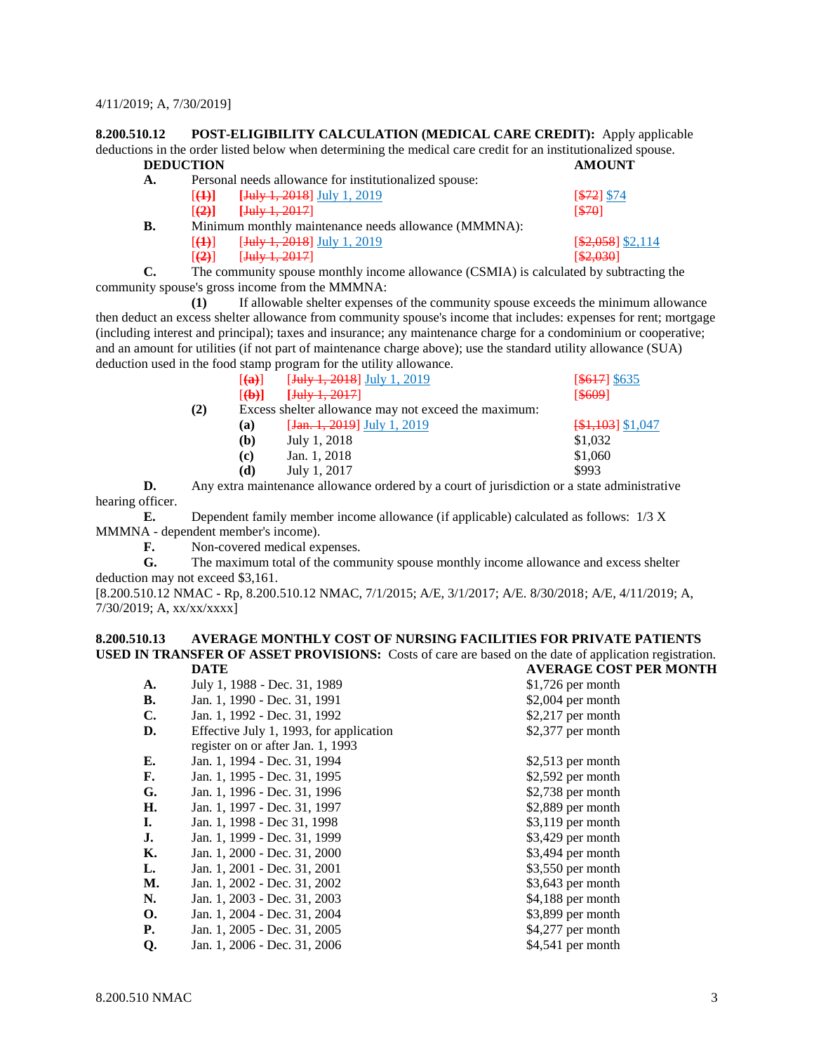#### 4/11/2019; A, 7/30/2019]

**8.200.510.12 POST-ELIGIBILITY CALCULATION (MEDICAL CARE CREDIT):** Apply applicable deductions in the order listed below when determining the medical care credit for an institutionalized spouse.<br> **DEDUCTION DEDUCTION** 

| А. |                      | Personal needs allowance for institutionalized spouse: |                    |
|----|----------------------|--------------------------------------------------------|--------------------|
|    | 1 <del>(1)</del> 1   | <b>[July 1, 2018]</b> July 1, 2019                     | $572$ \$74         |
|    |                      | $[(2)]$ [July 1, 2017]                                 | 570                |
| B. |                      | Minimum monthly maintenance needs allowance (MMMNA):   |                    |
|    | 1 <del>(1)</del>     | [ <del>July 1, 2018</del> ] July 1, 2019               | $[$2,058]$ \$2,114 |
|    | $[\left( 2\right) ]$ | [ <b>July</b> 1, 2017]                                 | [ \$2,030]         |

**C.** The community spouse monthly income allowance (CSMIA) is calculated by subtracting the community spouse's gross income from the MMMNA:

**(1)** If allowable shelter expenses of the community spouse exceeds the minimum allowance then deduct an excess shelter allowance from community spouse's income that includes: expenses for rent; mortgage (including interest and principal); taxes and insurance; any maintenance charge for a condominium or cooperative; and an amount for utilities (if not part of maintenance charge above); use the standard utility allowance (SUA) deduction used in the food stamp program for the utility allowance.

|     | $\lceil (a) \rceil$ | $[\frac{\text{July } 1, 2018}{\text{ July } 1, 2019}]$ | $[$ \$617] \$635   |
|-----|---------------------|--------------------------------------------------------|--------------------|
|     | [4b]                | $[$ July 1, 2017 $]$                                   | [\$609]            |
| (2) |                     | Excess shelter allowance may not exceed the maximum:   |                    |
|     | (a)                 | $[Jan. 1, 2019]$ July 1, 2019                          | $[$1,103]$ \$1,047 |
|     | (b)                 | July 1, 2018                                           | \$1,032            |
|     | (c)                 | Jan. 1, 2018                                           | \$1,060            |
|     | (d)                 | July 1, 2017                                           | \$993              |
|     |                     |                                                        |                    |

**D.** Any extra maintenance allowance ordered by a court of jurisdiction or a state administrative hearing officer.

**E.** Dependent family member income allowance (if applicable) calculated as follows: 1/3 X MMMNA - dependent member's income).

**F.** Non-covered medical expenses.

**G.** The maximum total of the community spouse monthly income allowance and excess shelter deduction may not exceed \$3,161.

[8.200.510.12 NMAC - Rp, 8.200.510.12 NMAC, 7/1/2015; A/E, 3/1/2017; A/E. 8/30/2018; A/E, 4/11/2019; A, 7/30/2019; A, xx/xx/xxxx]

#### **8.200.510.13 AVERAGE MONTHLY COST OF NURSING FACILITIES FOR PRIVATE PATIENTS USED IN TRANSFER OF ASSET PROVISIONS:** Costs of care are based on the date of application registration.<br>
DATE DATE **DATE AVERAGE COST PER MONTH**

|                | DAIL                                    | A VENAGE COST LEN MON |
|----------------|-----------------------------------------|-----------------------|
| A.             | July 1, 1988 - Dec. 31, 1989            | $$1,726$ per month    |
| В.             | Jan. 1, 1990 - Dec. 31, 1991            | $$2,004$ per month    |
| $\mathbf{C}$ . | Jan. 1, 1992 - Dec. 31, 1992            | $$2,217$ per month    |
| D.             | Effective July 1, 1993, for application | \$2,377 per month     |
|                | register on or after Jan. 1, 1993       |                       |
| E.             | Jan. 1, 1994 - Dec. 31, 1994            | $$2,513$ per month    |
| F.             | Jan. 1, 1995 - Dec. 31, 1995            | $$2,592$ per month    |
| G.             | Jan. 1, 1996 - Dec. 31, 1996            | $$2,738$ per month    |
| Н.             | Jan. 1, 1997 - Dec. 31, 1997            | $$2,889$ per month    |
| I.             | Jan. 1, 1998 - Dec 31, 1998             | $$3,119$ per month    |
| J.             | Jan. 1, 1999 - Dec. 31, 1999            | $$3,429$ per month    |
| К.             | Jan. 1, 2000 - Dec. 31, 2000            | $$3,494$ per month    |
| L.             | Jan. 1, 2001 - Dec. 31, 2001            | $$3,550$ per month    |
| М.             | Jan. 1, 2002 - Dec. 31, 2002            | $$3,643$ per month    |
| N.             | Jan. 1, 2003 - Dec. 31, 2003            | $$4,188$ per month    |
| <b>O.</b>      | Jan. 1, 2004 - Dec. 31, 2004            | \$3,899 per month     |
| <b>P.</b>      | Jan. 1, 2005 - Dec. 31, 2005            | $$4,277$ per month    |
| Q.             | Jan. 1, 2006 - Dec. 31, 2006            | \$4,541 per month     |